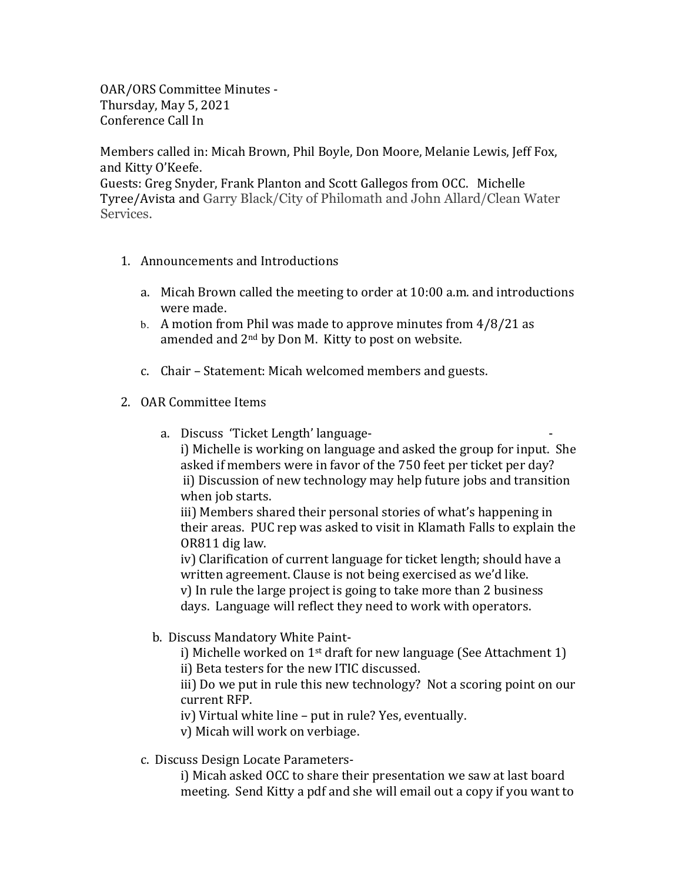OAR/ORS Committee Minutes -Thursday, May 5, 2021 Conference Call In

Members called in: Micah Brown, Phil Boyle, Don Moore, Melanie Lewis, Jeff Fox, and Kitty O'Keefe.

Guests: Greg Snyder, Frank Planton and Scott Gallegos from OCC. Michelle Tyree/Avista and Garry Black/City of Philomath and John Allard/Clean Water Services.

- 1. Announcements and Introductions
	- a. Micah Brown called the meeting to order at 10:00 a.m. and introductions were made.
	- b. A motion from Phil was made to approve minutes from  $4/8/21$  as amended and  $2<sup>nd</sup>$  by Don M. Kitty to post on website.
	- c. Chair Statement: Micah welcomed members and guests.

## 2. OAR Committee Items

a. Discuss 'Ticket Length' language-

i) Michelle is working on language and asked the group for input. She asked if members were in favor of the 750 feet per ticket per day? ii) Discussion of new technology may help future jobs and transition when job starts.

iii) Members shared their personal stories of what's happening in their areas. PUC rep was asked to visit in Klamath Falls to explain the OR811 dig law.

iv) Clarification of current language for ticket length; should have a written agreement. Clause is not being exercised as we'd like.  $v$ ) In rule the large project is going to take more than 2 business

days. Language will reflect they need to work with operators.

b. Discuss Mandatory White Paint-

i) Michelle worked on  $1<sup>st</sup>$  draft for new language (See Attachment 1)

ii) Beta testers for the new ITIC discussed.

iii) Do we put in rule this new technology? Not a scoring point on our current RFP.

iv) Virtual white line – put in rule? Yes, eventually.

- v) Micah will work on verbiage.
- c. Discuss Design Locate Parameters-

i) Micah asked OCC to share their presentation we saw at last board meeting. Send Kitty a pdf and she will email out a copy if you want to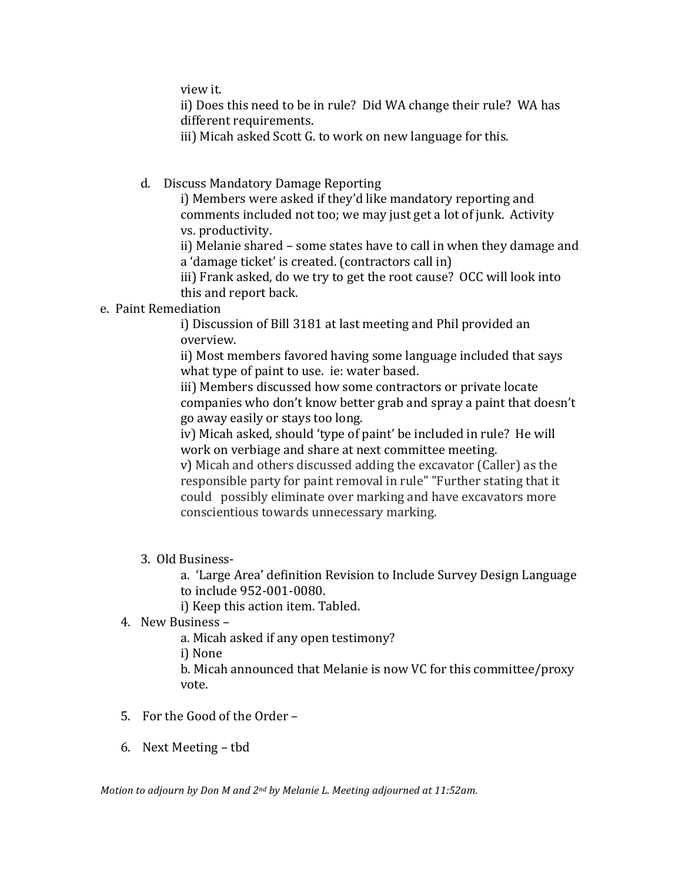view it.

ii) Does this need to be in rule? Did WA change their rule? WA has different requirements.

iii) Micah asked Scott G. to work on new language for this.

d. Discuss Mandatory Damage Reporting

i) Members were asked if they'd like mandatory reporting and comments included not too; we may just get a lot of junk. Activity vs. productivity.

ii) Melanie shared – some states have to call in when they damage and a 'damage ticket' is created. (contractors call in)

iii) Frank asked, do we try to get the root cause? OCC will look into this and report back.

## e. Paint Remediation

i) Discussion of Bill 3181 at last meeting and Phil provided an overview. 

ii) Most members favored having some language included that says what type of paint to use. ie: water based.

iii) Members discussed how some contractors or private locate companies who don't know better grab and spray a paint that doesn't go away easily or stays too long.

iv) Micah asked, should 'type of paint' be included in rule? He will work on verbiage and share at next committee meeting.

v) Micah and others discussed adding the excavator (Caller) as the responsible party for paint removal in rule" "Further stating that it could possibly eliminate over marking and have excavators more conscientious towards unnecessary marking.

3. Old Business-

a. 'Large Area' definition Revision to Include Survey Design Language to include 952-001-0080.

i) Keep this action item. Tabled.

4. New Business –

a. Micah asked if any open testimony?

i) None

b. Micah announced that Melanie is now VC for this committee/proxy vote.

- 5. For the Good of the Order -
- 6. Next Meeting tbd

*Motion to adjourn by Don M and 2<sup>nd</sup> by Melanie L. Meeting adjourned at 11:52am.*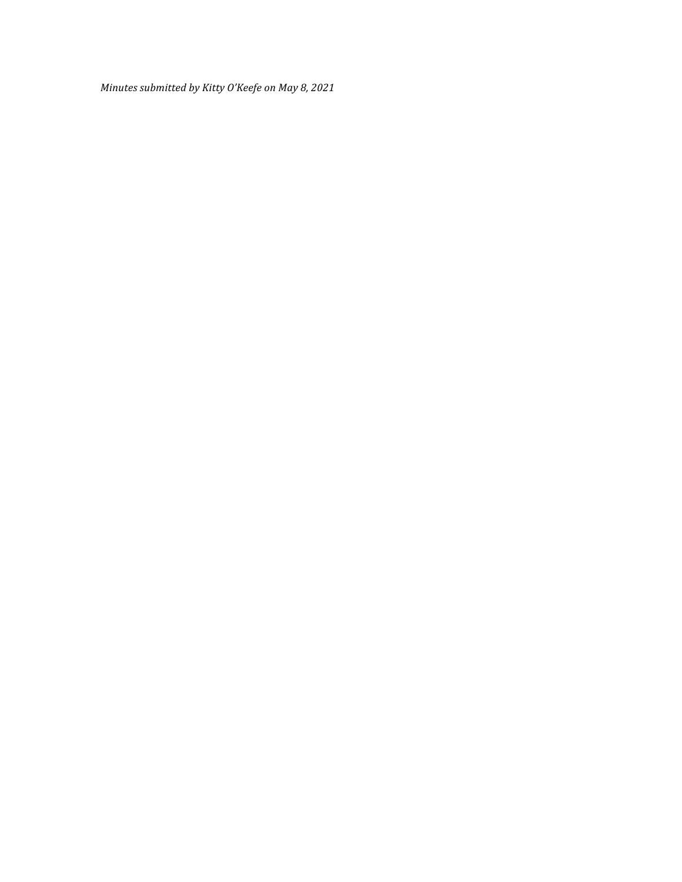*Minutes submitted by Kitty O'Keefe on May 8, 2021*